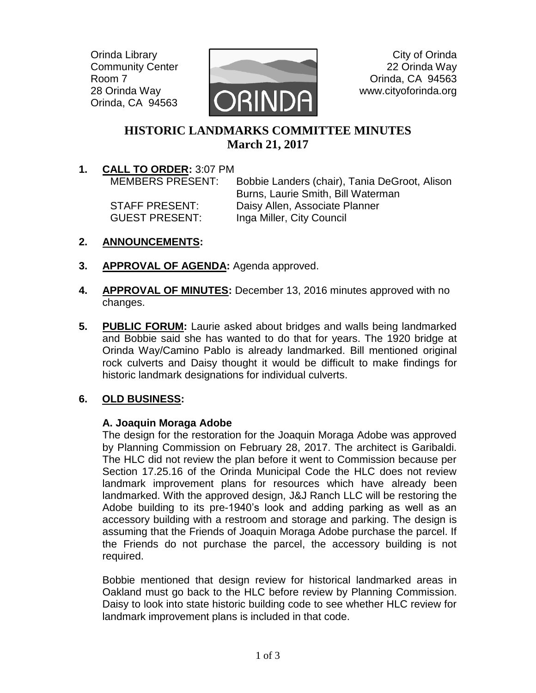Orinda Library Community Center Room 7 28 Orinda Way Orinda, CA 94563



City of Orinda 22 Orinda Way Orinda, CA 94563 www.cityoforinda.org

# **HISTORIC LANDMARKS COMMITTEE MINUTES March 21, 2017**

**1. CALL TO ORDER:** 3:07 PM

MEMBERS PRESENT: Bobbie Landers (chair), Tania DeGroot, Alison Burns, Laurie Smith, Bill Waterman STAFF PRESENT: Daisy Allen, Associate Planner GUEST PRESENT: Inga Miller, City Council

- **2. ANNOUNCEMENTS:**
- **3. APPROVAL OF AGENDA:** Agenda approved.
- **4. APPROVAL OF MINUTES:** December 13, 2016 minutes approved with no changes.
- **5. PUBLIC FORUM:** Laurie asked about bridges and walls being landmarked and Bobbie said she has wanted to do that for years. The 1920 bridge at Orinda Way/Camino Pablo is already landmarked. Bill mentioned original rock culverts and Daisy thought it would be difficult to make findings for historic landmark designations for individual culverts.

# **6. OLD BUSINESS:**

### **A. Joaquin Moraga Adobe**

The design for the restoration for the Joaquin Moraga Adobe was approved by Planning Commission on February 28, 2017. The architect is Garibaldi. The HLC did not review the plan before it went to Commission because per Section 17.25.16 of the Orinda Municipal Code the HLC does not review landmark improvement plans for resources which have already been landmarked. With the approved design, J&J Ranch LLC will be restoring the Adobe building to its pre-1940's look and adding parking as well as an accessory building with a restroom and storage and parking. The design is assuming that the Friends of Joaquin Moraga Adobe purchase the parcel. If the Friends do not purchase the parcel, the accessory building is not required.

Bobbie mentioned that design review for historical landmarked areas in Oakland must go back to the HLC before review by Planning Commission. Daisy to look into state historic building code to see whether HLC review for landmark improvement plans is included in that code.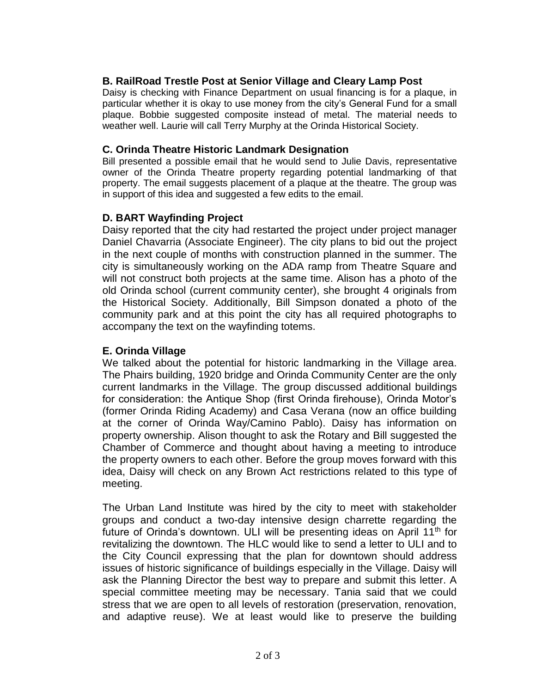### **B. RailRoad Trestle Post at Senior Village and Cleary Lamp Post**

Daisy is checking with Finance Department on usual financing is for a plaque, in particular whether it is okay to use money from the city's General Fund for a small plaque. Bobbie suggested composite instead of metal. The material needs to weather well. Laurie will call Terry Murphy at the Orinda Historical Society.

#### **C. Orinda Theatre Historic Landmark Designation**

Bill presented a possible email that he would send to Julie Davis, representative owner of the Orinda Theatre property regarding potential landmarking of that property. The email suggests placement of a plaque at the theatre. The group was in support of this idea and suggested a few edits to the email.

#### **D. BART Wayfinding Project**

Daisy reported that the city had restarted the project under project manager Daniel Chavarria (Associate Engineer). The city plans to bid out the project in the next couple of months with construction planned in the summer. The city is simultaneously working on the ADA ramp from Theatre Square and will not construct both projects at the same time. Alison has a photo of the old Orinda school (current community center), she brought 4 originals from the Historical Society. Additionally, Bill Simpson donated a photo of the community park and at this point the city has all required photographs to accompany the text on the wayfinding totems.

#### **E. Orinda Village**

We talked about the potential for historic landmarking in the Village area. The Phairs building, 1920 bridge and Orinda Community Center are the only current landmarks in the Village. The group discussed additional buildings for consideration: the Antique Shop (first Orinda firehouse), Orinda Motor's (former Orinda Riding Academy) and Casa Verana (now an office building at the corner of Orinda Way/Camino Pablo). Daisy has information on property ownership. Alison thought to ask the Rotary and Bill suggested the Chamber of Commerce and thought about having a meeting to introduce the property owners to each other. Before the group moves forward with this idea, Daisy will check on any Brown Act restrictions related to this type of meeting.

The Urban Land Institute was hired by the city to meet with stakeholder groups and conduct a two-day intensive design charrette regarding the future of Orinda's downtown. ULI will be presenting ideas on April 11<sup>th</sup> for revitalizing the downtown. The HLC would like to send a letter to ULI and to the City Council expressing that the plan for downtown should address issues of historic significance of buildings especially in the Village. Daisy will ask the Planning Director the best way to prepare and submit this letter. A special committee meeting may be necessary. Tania said that we could stress that we are open to all levels of restoration (preservation, renovation, and adaptive reuse). We at least would like to preserve the building